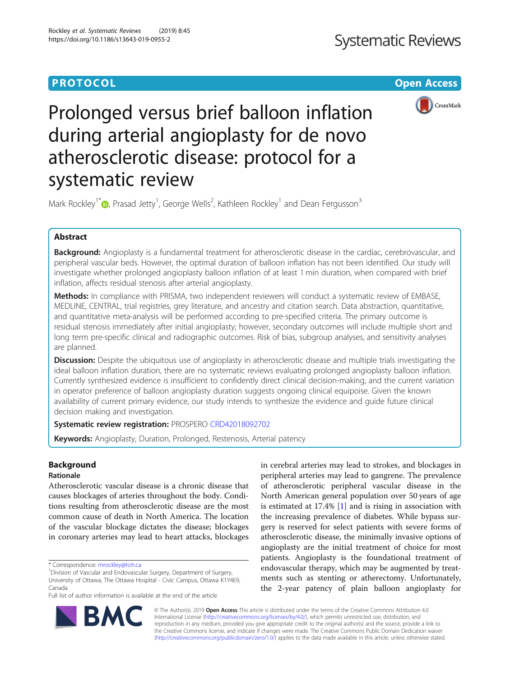# **PROTOCOL CONSUMING THE OPEN ACCESS**



Prolonged versus brief balloon inflation during arterial angioplasty for de novo atherosclerotic disease: protocol for a systematic review

Mark Rockley<sup>1[\\*](http://orcid.org/0000-0002-6597-8582)</sup> <sub>(b</sub>, Prasad Jetty<sup>1</sup>, George Wells<sup>2</sup>, Kathleen Rockley<sup>1</sup> and Dean Fergusson<sup>3</sup>

# Abstract

Background: Angioplasty is a fundamental treatment for atherosclerotic disease in the cardiac, cerebrovascular, and peripheral vascular beds. However, the optimal duration of balloon inflation has not been identified. Our study will investigate whether prolonged angioplasty balloon inflation of at least 1 min duration, when compared with brief inflation, affects residual stenosis after arterial angioplasty.

Methods: In compliance with PRISMA, two independent reviewers will conduct a systematic review of EMBASE, MEDLINE, CENTRAL, trial registries, grey literature, and ancestry and citation search. Data abstraction, quantitative, and quantitative meta-analysis will be performed according to pre-specified criteria. The primary outcome is residual stenosis immediately after initial angioplasty; however, secondary outcomes will include multiple short and long term pre-specific clinical and radiographic outcomes. Risk of bias, subgroup analyses, and sensitivity analyses are planned.

**Discussion:** Despite the ubiquitous use of angioplasty in atherosclerotic disease and multiple trials investigating the ideal balloon inflation duration, there are no systematic reviews evaluating prolonged angioplasty balloon inflation. Currently synthesized evidence is insufficient to confidently direct clinical decision-making, and the current variation in operator preference of balloon angioplasty duration suggests ongoing clinical equipoise. Given the known availability of current primary evidence, our study intends to synthesize the evidence and guide future clinical decision making and investigation.

Systematic review registration: PROSPERO [CRD42018092702](https://www.crd.york.ac.uk/prospero/display_record.php?RecordID=92702)

Keywords: Angioplasty, Duration, Prolonged, Restenosis, Arterial patency

# **Background**

# Rationale

Atherosclerotic vascular disease is a chronic disease that causes blockages of arteries throughout the body. Conditions resulting from atherosclerotic disease are the most common cause of death in North America. The location of the vascular blockage dictates the disease; blockages in coronary arteries may lead to heart attacks, blockages

in cerebral arteries may lead to strokes, and blockages in peripheral arteries may lead to gangrene. The prevalence of atherosclerotic peripheral vascular disease in the North American general population over 50 years of age is estimated at 17.4% [\[1](#page-5-0)] and is rising in association with the increasing prevalence of diabetes. While bypass surgery is reserved for select patients with severe forms of atherosclerotic disease, the minimally invasive options of angioplasty are the initial treatment of choice for most patients. Angioplasty is the foundational treatment of endovascular therapy, which may be augmented by treatments such as stenting or atherectomy. Unfortunately, the 2-year patency of plain balloon angioplasty for



© The Author(s). 2019 Open Access This article is distributed under the terms of the Creative Commons Attribution 4.0 International License [\(http://creativecommons.org/licenses/by/4.0/](http://creativecommons.org/licenses/by/4.0/)), which permits unrestricted use, distribution, and reproduction in any medium, provided you give appropriate credit to the original author(s) and the source, provide a link to the Creative Commons license, and indicate if changes were made. The Creative Commons Public Domain Dedication waiver [\(http://creativecommons.org/publicdomain/zero/1.0/](http://creativecommons.org/publicdomain/zero/1.0/)) applies to the data made available in this article, unless otherwise stated.

<sup>\*</sup> Correspondence: [mrockley@toh.ca](mailto:mrockley@toh.ca) <sup>1</sup>

<sup>&</sup>lt;sup>1</sup> Division of Vascular and Endovascular Surgery, Department of Surgery, University of Ottawa, The Ottawa Hospital - Civic Campus, Ottawa K1Y4E9, Canada

Full list of author information is available at the end of the article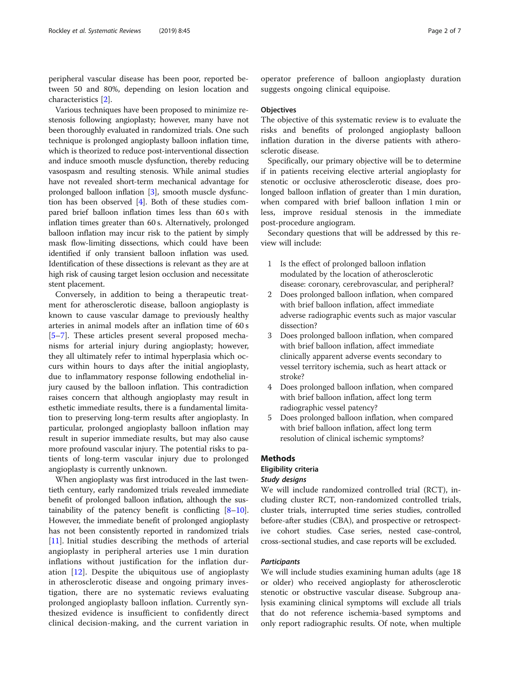peripheral vascular disease has been poor, reported between 50 and 80%, depending on lesion location and characteristics [[2\]](#page-5-0).

Various techniques have been proposed to minimize restenosis following angioplasty; however, many have not been thoroughly evaluated in randomized trials. One such technique is prolonged angioplasty balloon inflation time, which is theorized to reduce post-interventional dissection and induce smooth muscle dysfunction, thereby reducing vasospasm and resulting stenosis. While animal studies have not revealed short-term mechanical advantage for prolonged balloon inflation [[3\]](#page-5-0), smooth muscle dysfunction has been observed [[4\]](#page-5-0). Both of these studies compared brief balloon inflation times less than 60 s with inflation times greater than 60 s. Alternatively, prolonged balloon inflation may incur risk to the patient by simply mask flow-limiting dissections, which could have been identified if only transient balloon inflation was used. Identification of these dissections is relevant as they are at high risk of causing target lesion occlusion and necessitate stent placement.

Conversely, in addition to being a therapeutic treatment for atherosclerotic disease, balloon angioplasty is known to cause vascular damage to previously healthy arteries in animal models after an inflation time of 60 s [[5](#page-5-0)–[7\]](#page-5-0). These articles present several proposed mechanisms for arterial injury during angioplasty; however, they all ultimately refer to intimal hyperplasia which occurs within hours to days after the initial angioplasty, due to inflammatory response following endothelial injury caused by the balloon inflation. This contradiction raises concern that although angioplasty may result in esthetic immediate results, there is a fundamental limitation to preserving long-term results after angioplasty. In particular, prolonged angioplasty balloon inflation may result in superior immediate results, but may also cause more profound vascular injury. The potential risks to patients of long-term vascular injury due to prolonged angioplasty is currently unknown.

When angioplasty was first introduced in the last twentieth century, early randomized trials revealed immediate benefit of prolonged balloon inflation, although the sustainability of the patency benefit is conflicting  $[8-10]$  $[8-10]$  $[8-10]$  $[8-10]$ . However, the immediate benefit of prolonged angioplasty has not been consistently reported in randomized trials [[11](#page-6-0)]. Initial studies describing the methods of arterial angioplasty in peripheral arteries use 1 min duration inflations without justification for the inflation duration [\[12](#page-6-0)]. Despite the ubiquitous use of angioplasty in atherosclerotic disease and ongoing primary investigation, there are no systematic reviews evaluating prolonged angioplasty balloon inflation. Currently synthesized evidence is insufficient to confidently direct clinical decision-making, and the current variation in

operator preference of balloon angioplasty duration suggests ongoing clinical equipoise.

#### **Objectives**

The objective of this systematic review is to evaluate the risks and benefits of prolonged angioplasty balloon inflation duration in the diverse patients with atherosclerotic disease.

Specifically, our primary objective will be to determine if in patients receiving elective arterial angioplasty for stenotic or occlusive atherosclerotic disease, does prolonged balloon inflation of greater than 1 min duration, when compared with brief balloon inflation 1 min or less, improve residual stenosis in the immediate post-procedure angiogram.

Secondary questions that will be addressed by this review will include:

- 1 Is the effect of prolonged balloon inflation modulated by the location of atherosclerotic disease: coronary, cerebrovascular, and peripheral?
- 2 Does prolonged balloon inflation, when compared with brief balloon inflation, affect immediate adverse radiographic events such as major vascular dissection?
- 3 Does prolonged balloon inflation, when compared with brief balloon inflation, affect immediate clinically apparent adverse events secondary to vessel territory ischemia, such as heart attack or stroke?
- 4 Does prolonged balloon inflation, when compared with brief balloon inflation, affect long term radiographic vessel patency?
- 5 Does prolonged balloon inflation, when compared with brief balloon inflation, affect long term resolution of clinical ischemic symptoms?

#### Methods

#### Eligibility criteria

#### Study designs

We will include randomized controlled trial (RCT), including cluster RCT, non-randomized controlled trials, cluster trials, interrupted time series studies, controlled before-after studies (CBA), and prospective or retrospective cohort studies. Case series, nested case-control, cross-sectional studies, and case reports will be excluded.

## **Participants**

We will include studies examining human adults (age 18 or older) who received angioplasty for atherosclerotic stenotic or obstructive vascular disease. Subgroup analysis examining clinical symptoms will exclude all trials that do not reference ischemia-based symptoms and only report radiographic results. Of note, when multiple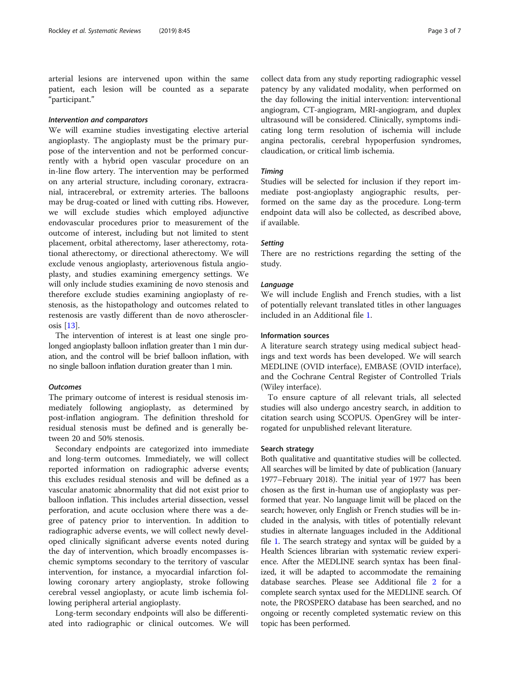arterial lesions are intervened upon within the same patient, each lesion will be counted as a separate "participant."

## Intervention and comparators

We will examine studies investigating elective arterial angioplasty. The angioplasty must be the primary purpose of the intervention and not be performed concurrently with a hybrid open vascular procedure on an in-line flow artery. The intervention may be performed on any arterial structure, including coronary, extracranial, intracerebral, or extremity arteries. The balloons may be drug-coated or lined with cutting ribs. However, we will exclude studies which employed adjunctive endovascular procedures prior to measurement of the outcome of interest, including but not limited to stent placement, orbital atherectomy, laser atherectomy, rotational atherectomy, or directional atherectomy. We will exclude venous angioplasty, arteriovenous fistula angioplasty, and studies examining emergency settings. We will only include studies examining de novo stenosis and therefore exclude studies examining angioplasty of restenosis, as the histopathology and outcomes related to restenosis are vastly different than de novo atherosclerosis [\[13\]](#page-6-0).

The intervention of interest is at least one single prolonged angioplasty balloon inflation greater than 1 min duration, and the control will be brief balloon inflation, with no single balloon inflation duration greater than 1 min.

# **Outcomes**

The primary outcome of interest is residual stenosis immediately following angioplasty, as determined by post-inflation angiogram. The definition threshold for residual stenosis must be defined and is generally between 20 and 50% stenosis.

Secondary endpoints are categorized into immediate and long-term outcomes. Immediately, we will collect reported information on radiographic adverse events; this excludes residual stenosis and will be defined as a vascular anatomic abnormality that did not exist prior to balloon inflation. This includes arterial dissection, vessel perforation, and acute occlusion where there was a degree of patency prior to intervention. In addition to radiographic adverse events, we will collect newly developed clinically significant adverse events noted during the day of intervention, which broadly encompasses ischemic symptoms secondary to the territory of vascular intervention, for instance, a myocardial infarction following coronary artery angioplasty, stroke following cerebral vessel angioplasty, or acute limb ischemia following peripheral arterial angioplasty.

Long-term secondary endpoints will also be differentiated into radiographic or clinical outcomes. We will collect data from any study reporting radiographic vessel patency by any validated modality, when performed on the day following the initial intervention: interventional angiogram, CT-angiogram, MRI-angiogram, and duplex ultrasound will be considered. Clinically, symptoms indicating long term resolution of ischemia will include angina pectoralis, cerebral hypoperfusion syndromes, claudication, or critical limb ischemia.

## Timing

Studies will be selected for inclusion if they report immediate post-angioplasty angiographic results, performed on the same day as the procedure. Long-term endpoint data will also be collected, as described above, if available.

## **Setting**

There are no restrictions regarding the setting of the study.

#### Language

We will include English and French studies, with a list of potentially relevant translated titles in other languages included in an Additional file [1.](#page-5-0)

### Information sources

A literature search strategy using medical subject headings and text words has been developed. We will search MEDLINE (OVID interface), EMBASE (OVID interface), and the Cochrane Central Register of Controlled Trials (Wiley interface).

To ensure capture of all relevant trials, all selected studies will also undergo ancestry search, in addition to citation search using SCOPUS. OpenGrey will be interrogated for unpublished relevant literature.

## Search strategy

Both qualitative and quantitative studies will be collected. All searches will be limited by date of publication (January 1977–February 2018). The initial year of 1977 has been chosen as the first in-human use of angioplasty was performed that year. No language limit will be placed on the search; however, only English or French studies will be included in the analysis, with titles of potentially relevant studies in alternate languages included in the Additional file [1](#page-5-0). The search strategy and syntax will be guided by a Health Sciences librarian with systematic review experience. After the MEDLINE search syntax has been finalized, it will be adapted to accommodate the remaining database searches. Please see Additional file [2](#page-5-0) for a complete search syntax used for the MEDLINE search. Of note, the PROSPERO database has been searched, and no ongoing or recently completed systematic review on this topic has been performed.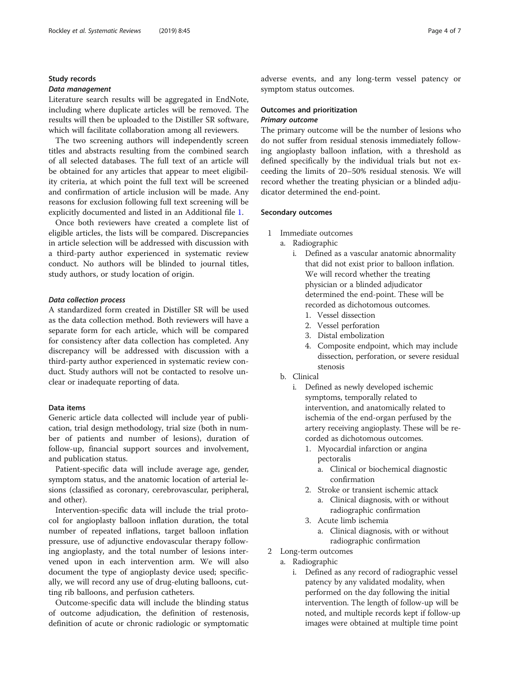# Study records

#### Data management

Literature search results will be aggregated in EndNote, including where duplicate articles will be removed. The results will then be uploaded to the Distiller SR software, which will facilitate collaboration among all reviewers.

The two screening authors will independently screen titles and abstracts resulting from the combined search of all selected databases. The full text of an article will be obtained for any articles that appear to meet eligibility criteria, at which point the full text will be screened and confirmation of article inclusion will be made. Any reasons for exclusion following full text screening will be explicitly documented and listed in an Additional file [1.](#page-5-0)

Once both reviewers have created a complete list of eligible articles, the lists will be compared. Discrepancies in article selection will be addressed with discussion with a third-party author experienced in systematic review conduct. No authors will be blinded to journal titles, study authors, or study location of origin.

#### Data collection process

A standardized form created in Distiller SR will be used as the data collection method. Both reviewers will have a separate form for each article, which will be compared for consistency after data collection has completed. Any discrepancy will be addressed with discussion with a third-party author experienced in systematic review conduct. Study authors will not be contacted to resolve unclear or inadequate reporting of data.

# Data items

Generic article data collected will include year of publication, trial design methodology, trial size (both in number of patients and number of lesions), duration of follow-up, financial support sources and involvement, and publication status.

Patient-specific data will include average age, gender, symptom status, and the anatomic location of arterial lesions (classified as coronary, cerebrovascular, peripheral, and other).

Intervention-specific data will include the trial protocol for angioplasty balloon inflation duration, the total number of repeated inflations, target balloon inflation pressure, use of adjunctive endovascular therapy following angioplasty, and the total number of lesions intervened upon in each intervention arm. We will also document the type of angioplasty device used; specifically, we will record any use of drug-eluting balloons, cutting rib balloons, and perfusion catheters.

Outcome-specific data will include the blinding status of outcome adjudication, the definition of restenosis, definition of acute or chronic radiologic or symptomatic adverse events, and any long-term vessel patency or symptom status outcomes.

## Outcomes and prioritization

# Primary outcome

The primary outcome will be the number of lesions who do not suffer from residual stenosis immediately following angioplasty balloon inflation, with a threshold as defined specifically by the individual trials but not exceeding the limits of 20–50% residual stenosis. We will record whether the treating physician or a blinded adjudicator determined the end-point.

#### Secondary outcomes

- 1 Immediate outcomes
	- a. Radiographic
		- i. Defined as a vascular anatomic abnormality that did not exist prior to balloon inflation. We will record whether the treating physician or a blinded adjudicator determined the end-point. These will be recorded as dichotomous outcomes.
			- 1. Vessel dissection
			- 2. Vessel perforation
			- 3. Distal embolization
			- 4. Composite endpoint, which may include dissection, perforation, or severe residual stenosis
	- b. Clinical
		- i. Defined as newly developed ischemic symptoms, temporally related to intervention, and anatomically related to ischemia of the end-organ perfused by the artery receiving angioplasty. These will be recorded as dichotomous outcomes.
			- 1. Myocardial infarction or angina pectoralis
				- a. Clinical or biochemical diagnostic confirmation
			- 2. Stroke or transient ischemic attack
				- a. Clinical diagnosis, with or without radiographic confirmation
			- 3. Acute limb ischemia
				- a. Clinical diagnosis, with or without radiographic confirmation
- 2 Long-term outcomes
	- a. Radiographic
		- i. Defined as any record of radiographic vessel patency by any validated modality, when performed on the day following the initial intervention. The length of follow-up will be noted, and multiple records kept if follow-up images were obtained at multiple time point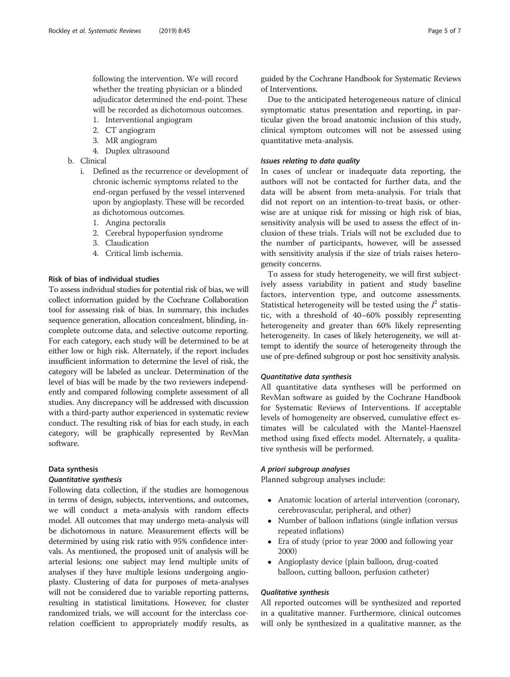following the intervention. We will record whether the treating physician or a blinded adjudicator determined the end-point. These will be recorded as dichotomous outcomes.

- 1. Interventional angiogram
- 2. CT angiogram
- 3. MR angiogram
- 4. Duplex ultrasound
- b. Clinical
	- i. Defined as the recurrence or development of chronic ischemic symptoms related to the end-organ perfused by the vessel intervened upon by angioplasty. These will be recorded as dichotomous outcomes.
		- 1. Angina pectoralis
		- 2. Cerebral hypoperfusion syndrome
		- 3. Claudication
		- 4. Critical limb ischemia.

## Risk of bias of individual studies

To assess individual studies for potential risk of bias, we will collect information guided by the Cochrane Collaboration tool for assessing risk of bias. In summary, this includes sequence generation, allocation concealment, blinding, incomplete outcome data, and selective outcome reporting. For each category, each study will be determined to be at either low or high risk. Alternately, if the report includes insufficient information to determine the level of risk, the category will be labeled as unclear. Determination of the level of bias will be made by the two reviewers independently and compared following complete assessment of all studies. Any discrepancy will be addressed with discussion with a third-party author experienced in systematic review conduct. The resulting risk of bias for each study, in each category, will be graphically represented by RevMan software.

#### Data synthesis

#### Quantitative synthesis

Following data collection, if the studies are homogenous in terms of design, subjects, interventions, and outcomes, we will conduct a meta-analysis with random effects model. All outcomes that may undergo meta-analysis will be dichotomous in nature. Measurement effects will be determined by using risk ratio with 95% confidence intervals. As mentioned, the proposed unit of analysis will be arterial lesions; one subject may lend multiple units of analyses if they have multiple lesions undergoing angioplasty. Clustering of data for purposes of meta-analyses will not be considered due to variable reporting patterns, resulting in statistical limitations. However, for cluster randomized trials, we will account for the interclass correlation coefficient to appropriately modify results, as guided by the Cochrane Handbook for Systematic Reviews of Interventions.

Due to the anticipated heterogeneous nature of clinical symptomatic status presentation and reporting, in particular given the broad anatomic inclusion of this study, clinical symptom outcomes will not be assessed using quantitative meta-analysis.

#### Issues relating to data quality

In cases of unclear or inadequate data reporting, the authors will not be contacted for further data, and the data will be absent from meta-analysis. For trials that did not report on an intention-to-treat basis, or otherwise are at unique risk for missing or high risk of bias, sensitivity analysis will be used to assess the effect of inclusion of these trials. Trials will not be excluded due to the number of participants, however, will be assessed with sensitivity analysis if the size of trials raises heterogeneity concerns.

To assess for study heterogeneity, we will first subjectively assess variability in patient and study baseline factors, intervention type, and outcome assessments. Statistical heterogeneity will be tested using the  $I^2$  statistic, with a threshold of 40–60% possibly representing heterogeneity and greater than 60% likely representing heterogeneity. In cases of likely heterogeneity, we will attempt to identify the source of heterogeneity through the use of pre-defined subgroup or post hoc sensitivity analysis.

### Quantitative data synthesis

All quantitative data syntheses will be performed on RevMan software as guided by the Cochrane Handbook for Systematic Reviews of Interventions. If acceptable levels of homogeneity are observed, cumulative effect estimates will be calculated with the Mantel-Haenszel method using fixed effects model. Alternately, a qualitative synthesis will be performed.

#### A priori subgroup analyses

Planned subgroup analyses include:

- Anatomic location of arterial intervention (coronary, cerebrovascular, peripheral, and other)
- Number of balloon inflations (single inflation versus repeated inflations)
- Era of study (prior to year 2000 and following year 2000)
- Angioplasty device (plain balloon, drug-coated balloon, cutting balloon, perfusion catheter)

#### Qualitative synthesis

All reported outcomes will be synthesized and reported in a qualitative manner. Furthermore, clinical outcomes will only be synthesized in a qualitative manner, as the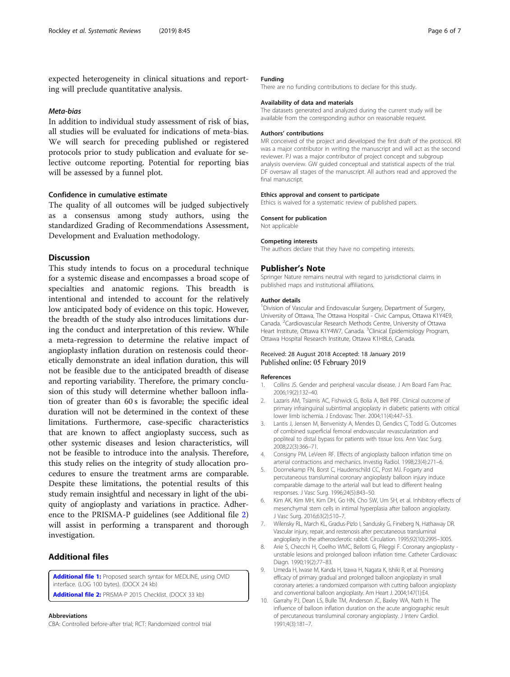<span id="page-5-0"></span>expected heterogeneity in clinical situations and reporting will preclude quantitative analysis.

## Meta-bias

In addition to individual study assessment of risk of bias, all studies will be evaluated for indications of meta-bias. We will search for preceding published or registered protocols prior to study publication and evaluate for selective outcome reporting. Potential for reporting bias will be assessed by a funnel plot.

### Confidence in cumulative estimate

The quality of all outcomes will be judged subjectively as a consensus among study authors, using the standardized Grading of Recommendations Assessment, Development and Evaluation methodology.

## **Discussion**

This study intends to focus on a procedural technique for a systemic disease and encompasses a broad scope of specialties and anatomic regions. This breadth is intentional and intended to account for the relatively low anticipated body of evidence on this topic. However, the breadth of the study also introduces limitations during the conduct and interpretation of this review. While a meta-regression to determine the relative impact of angioplasty inflation duration on restenosis could theoretically demonstrate an ideal inflation duration, this will not be feasible due to the anticipated breadth of disease and reporting variability. Therefore, the primary conclusion of this study will determine whether balloon inflation of greater than 60 s is favorable; the specific ideal duration will not be determined in the context of these limitations. Furthermore, case-specific characteristics that are known to affect angioplasty success, such as other systemic diseases and lesion characteristics, will not be feasible to introduce into the analysis. Therefore, this study relies on the integrity of study allocation procedures to ensure the treatment arms are comparable. Despite these limitations, the potential results of this study remain insightful and necessary in light of the ubiquity of angioplasty and variations in practice. Adherence to the PRISMA-P guidelines (see Additional file 2) will assist in performing a transparent and thorough investigation.

# Additional files

[Additional file 1:](https://doi.org/10.1186/s13643-019-0955-2) Proposed search syntax for MEDLINE, using OVID interface. (LOG 100 bytes). (DOCX 24 kb) [Additional file 2:](https://doi.org/10.1186/s13643-019-0955-2) PRISMA-P 2015 Checklist. (DOCX 33 kb)

#### Abbreviations

CBA: Controlled before-after trial; RCT: Randomized control trial

#### Funding

There are no funding contributions to declare for this study.

#### Availability of data and materials

The datasets generated and analyzed during the current study will be available from the corresponding author on reasonable request.

#### Authors' contributions

MR conceived of the project and developed the first draft of the protocol. KR was a major contributor in writing the manuscript and will act as the second reviewer. PJ was a major contributor of project concept and subgroup analysis overview. GW guided conceptual and statistical aspects of the trial. DF oversaw all stages of the manuscript. All authors read and approved the final manuscript.

#### Ethics approval and consent to participate

Ethics is waived for a systematic review of published papers.

#### Consent for publication

Not applicable

### Competing interests

The authors declare that they have no competing interests.

#### Publisher's Note

Springer Nature remains neutral with regard to jurisdictional claims in published maps and institutional affiliations.

#### Author details

<sup>1</sup> Division of Vascular and Endovascular Surgery, Department of Surgery, University of Ottawa, The Ottawa Hospital - Civic Campus, Ottawa K1Y4E9, Canada. <sup>2</sup>Cardiovascular Research Methods Centre, University of Ottawa Heart Institute, Ottawa K1Y4W7, Canada. <sup>3</sup>Clinical Epidemiology Program, Ottawa Hospital Research Institute, Ottawa K1H8L6, Canada.

#### Received: 28 August 2018 Accepted: 18 January 2019 Published online: 05 February 2019

#### References

- 1. Collins JS. Gender and peripheral vascular disease. J Am Board Fam Prac. 2006;19(2):132–40.
- 2. Lazaris AM, Tsiamis AC, Fishwick G, Bolia A, Bell PRF. Clinical outcome of primary infrainguinal subintimal angioplasty in diabetic patients with critical lower limb ischemia. J Endovasc Ther. 2004;11(4):447–53.
- 3. Lantis J, Jensen M, Benvenisty A, Mendes D, Gendics C, Todd G. Outcomes of combined superficial femoral endovascular revascularization and popliteal to distal bypass for patients with tissue loss. Ann Vasc Surg. 2008;22(3):366–71.
- 4. Consigny PM, LeVeen RF. Effects of angioplasty balloon inflation time on arterial contractions and mechanics. Investig Radiol. 1998;23(4):271–6.
- 5. Doornekamp FN, Borst C, Haudenschild CC, Post MJ. Fogarty and percutaneous transluminal coronary angioplasty balloon injury induce comparable damage to the arterial wall but lead to different healing responses. J Vasc Surg. 1996;24(5):843–50.
- 6. Kim AK, Kim MH, Kim DH, Go HN, Cho SW, Um SH, et al. Inhibitory effects of mesenchymal stem cells in intimal hyperplasia after balloon angioplasty. J Vasc Surg. 2016;63(2):510–7.
- 7. Wilensky RL, March KL, Gradus-Pizlo I, Sandusky G, Fineberg N, Hathaway DR. Vascular injury, repair, and restenosis after percutaneous transluminal angioplasty in the atherosclerotic rabbit. Circulation. 1995;92(10):2995–3005.
- 8. Arie S, Checchi H, Coelho WMC, Bellotti G, Pileggi F. Coronary angioplasty unstable lesions and prolonged balloon inflation time. Catheter Cardiovasc Diagn. 1990;19(2):77–83.
- 9. Umeda H, Iwase M, Kanda H, Izawa H, Nagata K, Ishiki R, et al. Promising efficacy of primary gradual and prolonged balloon angioplasty in small coronary arteries: a randomized comparison with cutting balloon angioplasty and conventional balloon angioplasty. Am Heart J. 2004;147(1):E4.
- 10. Garrahy PJ, Dean LS, Bulle TM, Anderson JC, Baxley WA, Nath H. The influence of balloon inflation duration on the acute angiographic result of percutaneous transluminal coronary angioplasty. J Interv Cardiol. 1991;4(3):181–7.